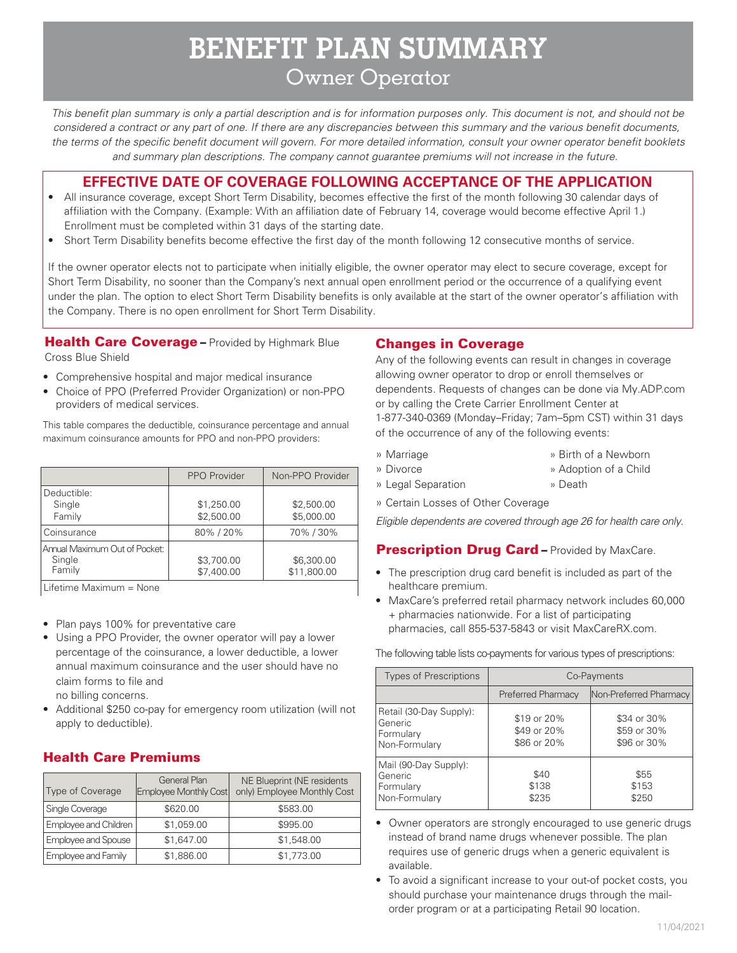# **BENEFIT PLAN SUMMARY** Owner Operator

*This benefit plan summary is only a partial description and is for information purposes only. This document is not, and should not be considered a contract or any part of one. If there are any discrepancies between this summary and the various benefit documents, the terms of the specific benefit document will govern. For more detailed information, consult your owner operator benefit booklets and summary plan descriptions. The company cannot guarantee premiums will not increase in the future.*

# **EFFECTIVE DATE OF COVERAGE FOLLOWING ACCEPTANCE OF THE APPLICATION**

- All insurance coverage, except Short Term Disability, becomes effective the first of the month following 30 calendar days of affiliation with the Company. (Example: With an affiliation date of February 14, coverage would become effective April 1.) Enrollment must be completed within 31 days of the starting date.
- Short Term Disability benefits become effective the first day of the month following 12 consecutive months of service.

If the owner operator elects not to participate when initially eligible, the owner operator may elect to secure coverage, except for Short Term Disability, no sooner than the Company's next annual open enrollment period or the occurrence of a qualifying event under the plan. The option to elect Short Term Disability benefits is only available at the start of the owner operator's affiliation with the Company. There is no open enrollment for Short Term Disability.

Health Care Coverage - Provided by Highmark Blue Cross Blue Shield

- Comprehensive hospital and major medical insurance
- Choice of PPO (Preferred Provider Organization) or non-PPO providers of medical services.

This table compares the deductible, coinsurance percentage and annual maximum coinsurance amounts for PPO and non-PPO providers:

|                                                   | PPO Provider             | Non-PPO Provider          |
|---------------------------------------------------|--------------------------|---------------------------|
| Deductible:<br>Single<br>Family                   | \$1,250.00<br>\$2,500.00 | \$2,500.00<br>\$5,000.00  |
| Coinsurance                                       | 80%/20%                  | 70%/30%                   |
| Annual Maximum Out of Pocket:<br>Single<br>Family | \$3,700.00<br>\$7,400.00 | \$6,300.00<br>\$11,800.00 |

Lifetime Maximum = None

- Plan pays 100% for preventative care
- Using a PPO Provider, the owner operator will pay a lower percentage of the coinsurance, a lower deductible, a lower annual maximum coinsurance and the user should have no claim forms to file and

no billing concerns.

• Additional \$250 co-pay for emergency room utilization (will not apply to deductible).

# Health Care Premiums

| Type of Coverage      | <b>General Plan</b><br>Employee Monthly Cost | NE Blueprint (NE residents<br>only) Employee Monthly Cost |
|-----------------------|----------------------------------------------|-----------------------------------------------------------|
| Single Coverage       | \$620.00                                     | \$583.00                                                  |
| Employee and Children | \$1,059.00                                   | \$995.00                                                  |
| Employee and Spouse   | \$1,647.00                                   | \$1,548.00                                                |
| Employee and Family   | \$1,886.00                                   | \$1,773.00                                                |

#### Changes in Coverage

Any of the following events can result in changes in coverage allowing owner operator to drop or enroll themselves or dependents. Requests of changes can be done via My.ADP.com or by calling the Crete Carrier Enrollment Center at 1-877-340-0369 (Monday–Friday; 7am–5pm CST) within 31 days of the occurrence of any of the following events:

» Marriage

- » Birth of a Newborn
- » Divorce
- » Adoption of a Child » Death
- » Legal Separation
- » Certain Losses of Other Coverage

*Eligible dependents are covered through age 26 for health care only.*

#### **Prescription Drug Card - Provided by MaxCare.**

- The prescription drug card benefit is included as part of the healthcare premium.
- MaxCare's preferred retail pharmacy network includes 60,000 + pharmacies nationwide. For a list of participating pharmacies, call 855-537-5843 or visit MaxCareRX.com.

The following table lists co-payments for various types of prescriptions:

| <b>Types of Prescriptions</b>                                    | Co-Payments                               |                                           |
|------------------------------------------------------------------|-------------------------------------------|-------------------------------------------|
|                                                                  | Preferred Pharmacy                        | Non-Preferred Pharmacy                    |
| Retail (30-Day Supply):<br>Generic<br>Formulary<br>Non-Formulary | \$19 or 20%<br>\$49 or 20%<br>\$86 or 20% | \$34 or 30%<br>\$59 or 30%<br>\$96 or 30% |
| Mail (90-Day Supply):<br>Generic<br>Formulary<br>Non-Formulary   | \$40<br>\$138<br>\$235                    | \$55<br>\$153<br>\$250                    |

- Owner operators are strongly encouraged to use generic drugs instead of brand name drugs whenever possible. The plan requires use of generic drugs when a generic equivalent is available.
- To avoid a significant increase to your out-of pocket costs, you should purchase your maintenance drugs through the mailorder program or at a participating Retail 90 location.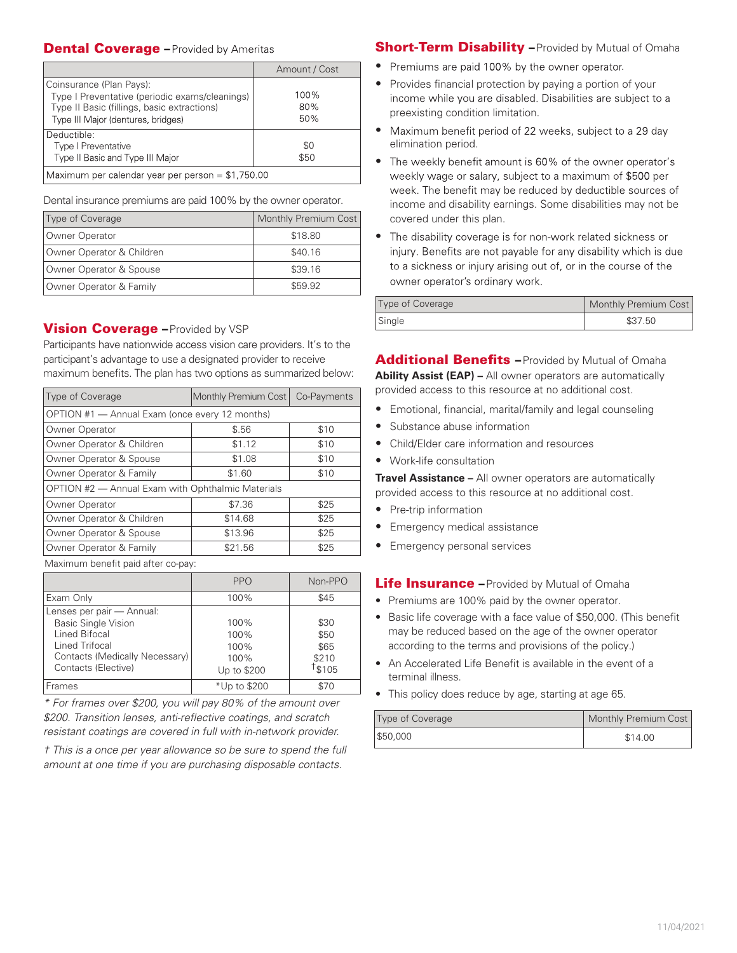#### **Dental Coverage - Provided by Ameritas**

|                                                                                                                                                                 | Amount / Cost      |  |
|-----------------------------------------------------------------------------------------------------------------------------------------------------------------|--------------------|--|
| Coinsurance (Plan Pays):<br>Type I Preventative (periodic exams/cleanings)<br>Type II Basic (fillings, basic extractions)<br>Type III Major (dentures, bridges) | 100%<br>80%<br>50% |  |
| Deductible:<br><b>Type I Preventative</b><br>Type II Basic and Type III Major                                                                                   | \$0<br>\$50        |  |
| Maximum per calendar year per person = \$1,750.00                                                                                                               |                    |  |

Dental insurance premiums are paid 100% by the owner operator.

| Type of Coverage          | Monthly Premium Cost |
|---------------------------|----------------------|
| Owner Operator            | \$18.80              |
| Owner Operator & Children | \$40.16              |
| Owner Operator & Spouse   | \$39.16              |
| Owner Operator & Family   | \$59.92              |

## **Vision Coverage - Provided by VSP**

Participants have nationwide access vision care providers. It's to the participant's advantage to use a designated provider to receive maximum benefits. The plan has two options as summarized below:

| Type of Coverage                                                                                                                                                                                                                                                                         | Monthly Premium Cost | Co-Payments |  |
|------------------------------------------------------------------------------------------------------------------------------------------------------------------------------------------------------------------------------------------------------------------------------------------|----------------------|-------------|--|
| OPTION #1 - Annual Exam (once every 12 months)                                                                                                                                                                                                                                           |                      |             |  |
| Owner Operator                                                                                                                                                                                                                                                                           | \$.56                | \$10        |  |
| Owner Operator & Children                                                                                                                                                                                                                                                                | \$1.12               | \$10        |  |
| Owner Operator & Spouse                                                                                                                                                                                                                                                                  | \$1.08               | \$10        |  |
| Owner Operator & Family                                                                                                                                                                                                                                                                  | \$1.60               | \$10        |  |
| OPTION #2 - Annual Exam with Ophthalmic Materials                                                                                                                                                                                                                                        |                      |             |  |
| Owner Operator                                                                                                                                                                                                                                                                           | \$7.36               | \$25        |  |
| Owner Operator & Children                                                                                                                                                                                                                                                                | \$14.68              | \$25        |  |
| Owner Operator & Spouse                                                                                                                                                                                                                                                                  | \$13.96              | \$25        |  |
| Owner Operator & Family                                                                                                                                                                                                                                                                  | \$21.56              | \$25        |  |
| $\mathbf{A}$ , and $\mathbf{A}$ , and $\mathbf{A}$ , and $\mathbf{A}$ , and $\mathbf{A}$ , and $\mathbf{A}$ , and $\mathbf{A}$ , and $\mathbf{A}$ , and $\mathbf{A}$ , and $\mathbf{A}$ , and $\mathbf{A}$ , and $\mathbf{A}$ , and $\mathbf{A}$ , and $\mathbf{A}$ , and $\mathbf{A}$ , |                      |             |  |

Maximum benefit paid after co-pay:

|                                                                                                                                                     | <b>PPO</b>                                  | Non-PPO                                |
|-----------------------------------------------------------------------------------------------------------------------------------------------------|---------------------------------------------|----------------------------------------|
| Exam Only                                                                                                                                           | 100%                                        | \$45                                   |
| Lenses per pair - Annual:<br><b>Basic Single Vision</b><br>Lined Bifocal<br>Lined Trifocal<br>Contacts (Medically Necessary)<br>Contacts (Elective) | 100%<br>100%<br>100%<br>100%<br>Up to \$200 | \$30<br>\$50<br>\$65<br>\$210<br>\$105 |
| Frames                                                                                                                                              | *Up to \$200                                | \$70                                   |

*\* For frames over \$200, you will pay 80% of the amount over \$200. Transition lenses, anti-reflective coatings, and scratch resistant coatings are covered in full with in-network provider.*

*† This is a once per year allowance so be sure to spend the full amount at one time if you are purchasing disposable contacts.* 

#### **Short-Term Disability – Provided by Mutual of Omaha**

- Premiums are paid 100% by the owner operator.
- Provides financial protection by paying a portion of your income while you are disabled. Disabilities are subject to a preexisting condition limitation.
- Maximum benefit period of 22 weeks, subject to a 29 day elimination period.
- The weekly benefit amount is 60% of the owner operator's weekly wage or salary, subject to a maximum of \$500 per week. The benefit may be reduced by deductible sources of income and disability earnings. Some disabilities may not be covered under this plan.
- The disability coverage is for non-work related sickness or injury. Benefits are not payable for any disability which is due to a sickness or injury arising out of, or in the course of the owner operator's ordinary work.

| Type of Coverage | Monthly Premium Cost |
|------------------|----------------------|
| Single           | \$37.50              |

Additional Benefits - Provided by Mutual of Omaha **Ability Assist (EAP) –** All owner operators are automatically provided access to this resource at no additional cost.

- Emotional, financial, marital/family and legal counseling
- Substance abuse information
- Child/Elder care information and resources
- Work-life consultation

**Travel Assistance –** All owner operators are automatically provided access to this resource at no additional cost.

- Pre-trip information
- Emergency medical assistance
- Emergency personal services

#### Life Insurance - Provided by Mutual of Omaha

- Premiums are 100% paid by the owner operator.
- Basic life coverage with a face value of \$50,000. (This benefit may be reduced based on the age of the owner operator according to the terms and provisions of the policy.)
- An Accelerated Life Benefit is available in the event of a terminal illness.
- This policy does reduce by age, starting at age 65.

| Type of Coverage | Monthly Premium Cost |
|------------------|----------------------|
| \$50,000         | \$14.00              |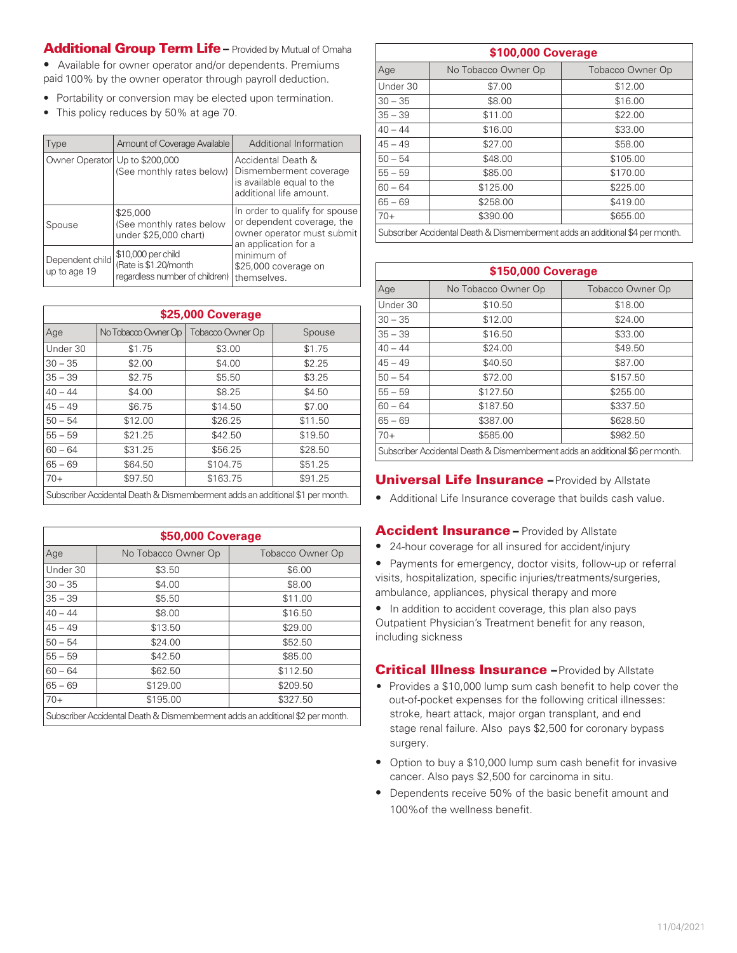# Additional Group Term Life – Provided by Mutual of Omaha

• Available for owner operator and/or dependents. Premiums paid 100% by the owner operator through payroll deduction.

- Portability or conversion may be elected upon termination.
- This policy reduces by 50% at age 70.

| Type                            | Amount of Coverage Available                                                  | Additional Information                                                                                             |
|---------------------------------|-------------------------------------------------------------------------------|--------------------------------------------------------------------------------------------------------------------|
| Owner Operator Up to \$200,000  | (See monthly rates below)                                                     | Accidental Death &<br>Dismemberment coverage<br>is available equal to the<br>additional life amount.               |
| Spouse                          | \$25,000<br>(See monthly rates below<br>under \$25,000 chart)                 | In order to qualify for spouse<br>or dependent coverage, the<br>owner operator must submit<br>an application for a |
| Dependent child<br>up to age 19 | \$10,000 per child<br>(Rate is \$1.20/month<br>regardless number of children) | minimum of<br>\$25,000 coverage on<br>themselves.                                                                  |

| \$25,000 Coverage                                                             |                     |                  |         |
|-------------------------------------------------------------------------------|---------------------|------------------|---------|
| Age                                                                           | No Tobacco Owner Op | Tobacco Owner Op | Spouse  |
| Under 30                                                                      | \$1.75              | \$3.00           | \$1.75  |
| $30 - 35$                                                                     | \$2.00              | \$4.00           | \$2.25  |
| $35 - 39$                                                                     | \$2.75              | \$5.50           | \$3.25  |
| $40 - 44$                                                                     | \$4.00              | \$8.25           | \$4.50  |
| $45 - 49$                                                                     | \$6.75              | \$14.50          | \$7.00  |
| $50 - 54$                                                                     | \$12.00             | \$26.25          | \$11.50 |
| $55 - 59$                                                                     | \$21.25             | \$42.50          | \$19.50 |
| $60 - 64$                                                                     | \$31.25             | \$56.25          | \$28.50 |
| $65 - 69$                                                                     | \$64.50             | \$104.75         | \$51.25 |
| $70+$                                                                         | \$97.50             | \$163.75         | \$91.25 |
| Subscriber Accidental Death & Dismemberment adds an additional \$1 per month. |                     |                  |         |

| \$50,000 Coverage                                                             |                     |                  |
|-------------------------------------------------------------------------------|---------------------|------------------|
| Age                                                                           | No Tobacco Owner Op | Tobacco Owner Op |
| Under 30                                                                      | \$3.50              | \$6.00           |
| $30 - 35$                                                                     | \$4.00              | \$8.00           |
| $35 - 39$                                                                     | \$5.50              | \$11.00          |
| $40 - 44$                                                                     | \$8.00              | \$16.50          |
| $45 - 49$                                                                     | \$13.50             | \$29.00          |
| $50 - 54$                                                                     | \$24.00             | \$52.50          |
| $55 - 59$                                                                     | \$42.50             | \$85.00          |
| $60 - 64$                                                                     | \$62.50             | \$112.50         |
| $65 - 69$                                                                     | \$129.00            | \$209.50         |
| $70+$                                                                         | \$195.00            | \$327.50         |
| Subscriber Accidental Death & Dismemberment adds an additional \$2 per month. |                     |                  |

| \$100,000 Coverage                                                            |                     |                  |  |  |
|-------------------------------------------------------------------------------|---------------------|------------------|--|--|
| Age                                                                           | No Tobacco Owner Op | Tobacco Owner Op |  |  |
| Under 30                                                                      | \$7.00              | \$12.00          |  |  |
| $30 - 35$                                                                     | \$8.00              | \$16.00          |  |  |
| $35 - 39$                                                                     | \$11.00             | \$22.00          |  |  |
| $40 - 44$                                                                     | \$16.00             | \$33.00          |  |  |
| $45 - 49$                                                                     | \$27.00             | \$58.00          |  |  |
| $50 - 54$                                                                     | \$48.00             | \$105.00         |  |  |
| $55 - 59$                                                                     | \$85.00             | \$170.00         |  |  |
| $60 - 64$                                                                     | \$125.00            | \$225.00         |  |  |
| $65 - 69$                                                                     | \$258.00            | \$419.00         |  |  |
| $70+$                                                                         | \$390.00            | \$655.00         |  |  |
| Subscriber Accidental Death & Dismemberment adds an additional \$4 per month. |                     |                  |  |  |

| \$150,000 Coverage                                                            |                     |                  |  |  |
|-------------------------------------------------------------------------------|---------------------|------------------|--|--|
| Age                                                                           | No Tobacco Owner Op | Tobacco Owner Op |  |  |
| Under 30                                                                      | \$10.50             | \$18.00          |  |  |
| $30 - 35$                                                                     | \$12.00             | \$24.00          |  |  |
| $35 - 39$                                                                     | \$16.50             | \$33.00          |  |  |
| $40 - 44$                                                                     | \$24.00             | \$49.50          |  |  |
| $45 - 49$                                                                     | \$40.50             | \$87.00          |  |  |
| $50 - 54$                                                                     | \$72.00             | \$157.50         |  |  |
| $55 - 59$                                                                     | \$127.50            | \$255.00         |  |  |
| $60 - 64$                                                                     | \$187.50            | \$337.50         |  |  |
| $65 - 69$                                                                     | \$387.00            | \$628.50         |  |  |
| $70+$                                                                         | \$585.00            | \$982.50         |  |  |
| Subscriber Accidental Death & Dismemberment adds an additional \$6 per month. |                     |                  |  |  |

#### **Universal Life Insurance - Provided by Allstate**

• Additional Life Insurance coverage that builds cash value.

#### **Accident Insurance - Provided by Allstate**

- 24-hour coverage for all insured for accident/injury
- Payments for emergency, doctor visits, follow-up or referral visits, hospitalization, specific injuries/treatments/surgeries, ambulance, appliances, physical therapy and more
- In addition to accident coverage, this plan also pays Outpatient Physician's Treatment benefit for any reason, including sickness

#### **Critical Illness Insurance - Provided by Allstate**

- Provides a \$10,000 lump sum cash benefit to help cover the out-of-pocket expenses for the following critical illnesses: stroke, heart attack, major organ transplant, and end stage renal failure. Also pays \$2,500 for coronary bypass surgery.
- Option to buy a \$10,000 lump sum cash benefit for invasive cancer. Also pays \$2,500 for carcinoma in situ.
- Dependents receive 50% of the basic benefit amount and 100%of the wellness benefit.